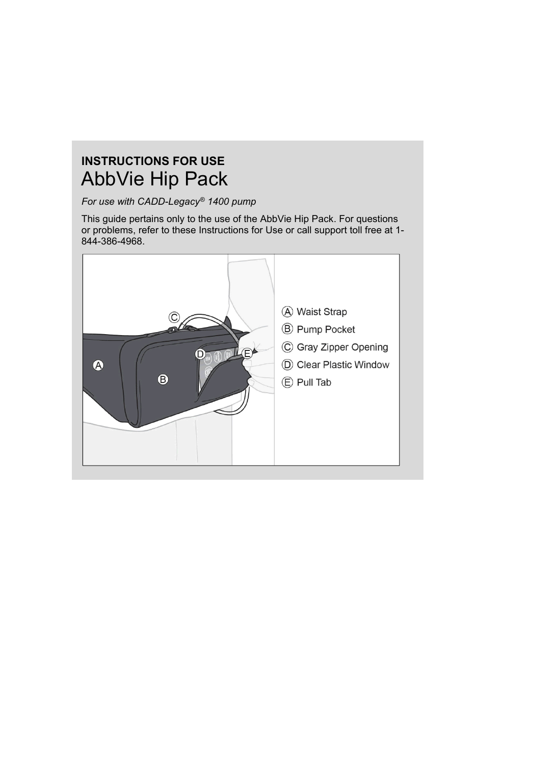# **INSTRUCTIONS FOR USE** AbbVie Hip Pack

*For use with CADD-Legacy® 1400 pump*

This guide pertains only to the use of the AbbVie Hip Pack. For questions or problems, refer to these Instructions for Use or call support toll free at 1- 844-386-4968.

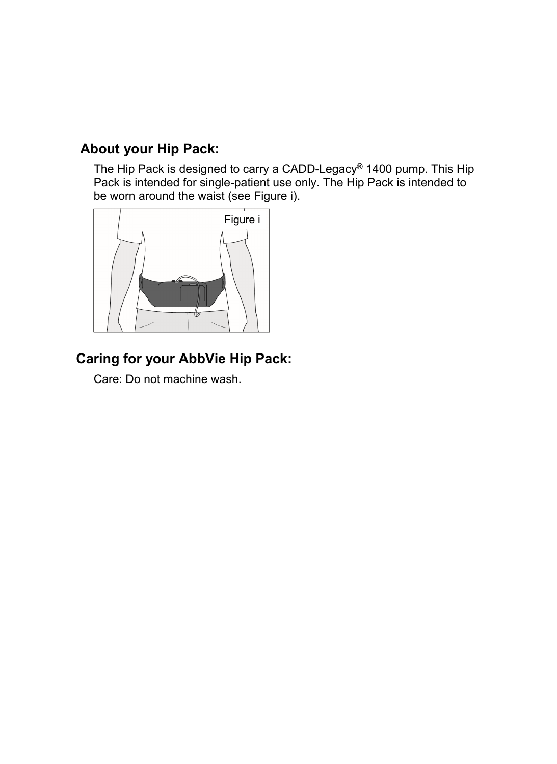### **About your Hip Pack:**

The Hip Pack is designed to carry a CADD-Legacy® 1400 pump. This Hip Pack is intended for single-patient use only. The Hip Pack is intended to be worn around the waist (see Figure i).



## **Caring for your AbbVie Hip Pack:**

Care: Do not machine wash.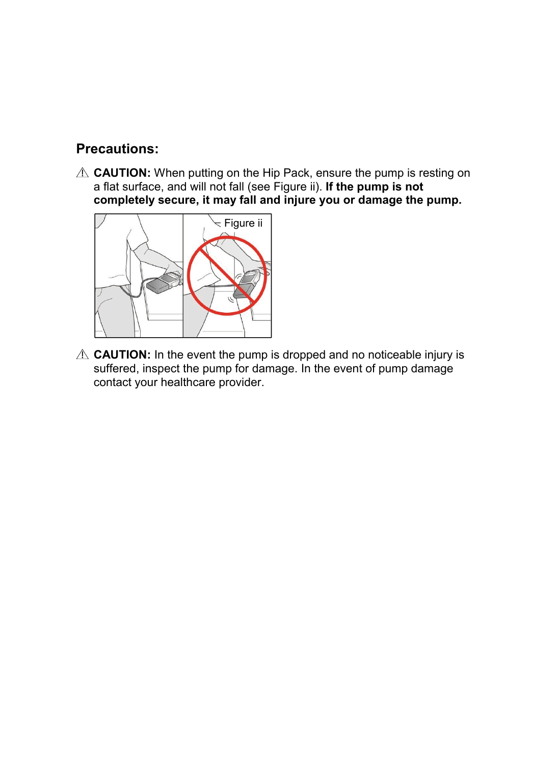#### **Precautions:**

**A CAUTION:** When putting on the Hip Pack, ensure the pump is resting on a flat surface, and will not fall (see Figure ii). **If the pump is not completely secure, it may fall and injure you or damage the pump.**



**EXAUTION:** In the event the pump is dropped and no noticeable injury is suffered, inspect the pump for damage. In the event of pump damage contact your healthcare provider.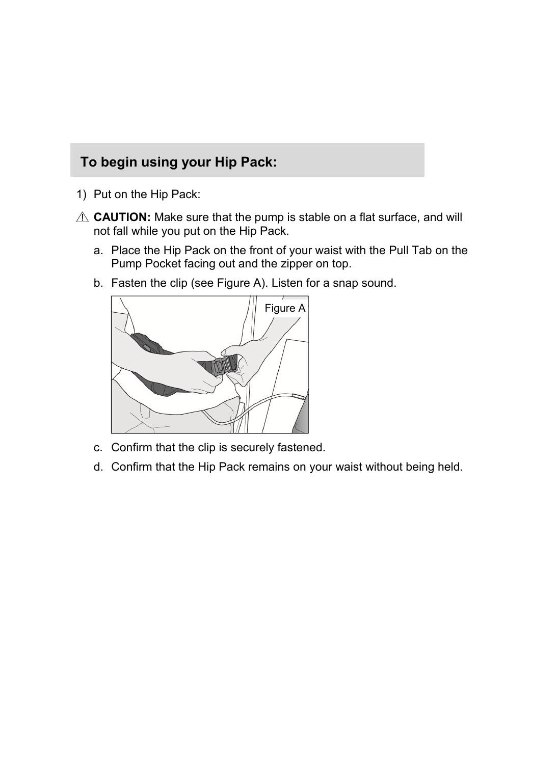## **To begin using your Hip Pack:**

- 1) Put on the Hip Pack:
- **A CAUTION:** Make sure that the pump is stable on a flat surface, and will not fall while you put on the Hip Pack.
	- a. Place the Hip Pack on the front of your waist with the Pull Tab on the Pump Pocket facing out and the zipper on top.
	- b. Fasten the clip (see Figure A). Listen for a snap sound.



- c. Confirm that the clip is securely fastened.
- d. Confirm that the Hip Pack remains on your waist without being held.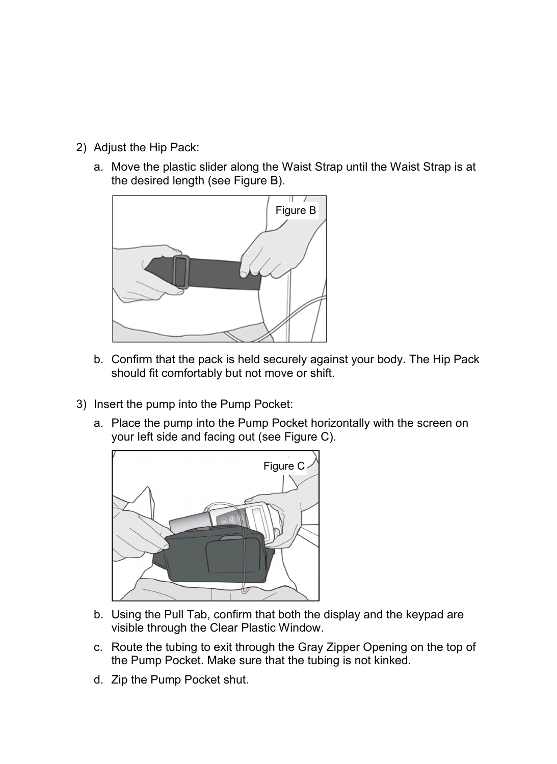- 2) Adjust the Hip Pack:
	- a. Move the plastic slider along the Waist Strap until the Waist Strap is at the desired length (see Figure B).



- b. Confirm that the pack is held securely against your body. The Hip Pack should fit comfortably but not move or shift.
- 3) Insert the pump into the Pump Pocket:
	- a. Place the pump into the Pump Pocket horizontally with the screen on your left side and facing out (see Figure C).



- b. Using the Pull Tab, confirm that both the display and the keypad are visible through the Clear Plastic Window.
- c. Route the tubing to exit through the Gray Zipper Opening on the top of the Pump Pocket. Make sure that the tubing is not kinked.
- d. Zip the Pump Pocket shut.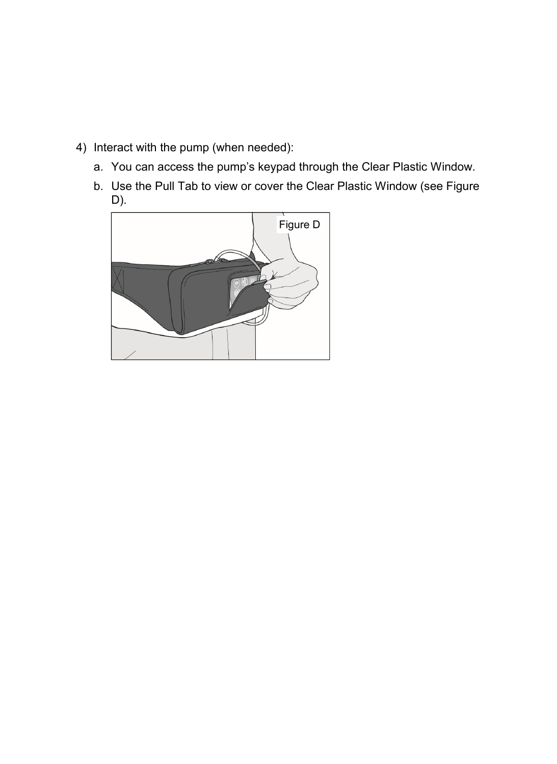- 4) Interact with the pump (when needed):
	- a. You can access the pump's keypad through the Clear Plastic Window.
	- b. Use the Pull Tab to view or cover the Clear Plastic Window (see Figure D).

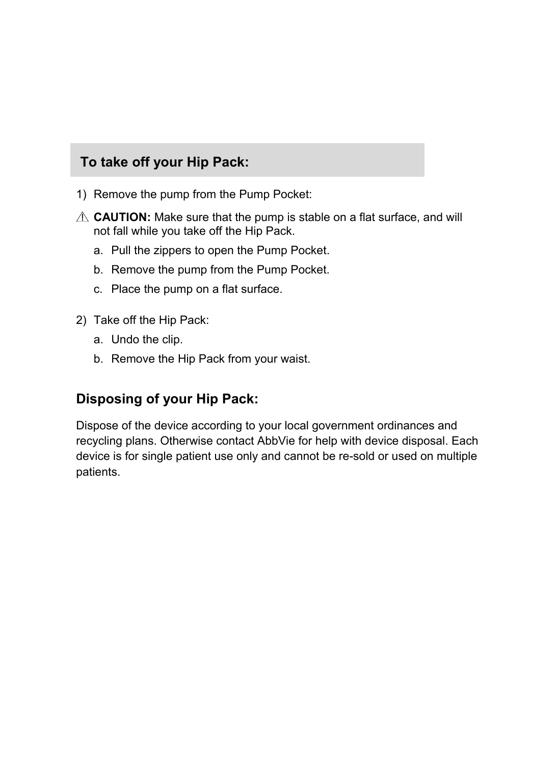#### **To take off your Hip Pack:**

- 1) Remove the pump from the Pump Pocket:
- **A CAUTION:** Make sure that the pump is stable on a flat surface, and will not fall while you take off the Hip Pack.
	- a. Pull the zippers to open the Pump Pocket.
	- b. Remove the pump from the Pump Pocket.
	- c. Place the pump on a flat surface.
- 2) Take off the Hip Pack:
	- a. Undo the clip.
	- b. Remove the Hip Pack from your waist.

#### **Disposing of your Hip Pack:**

Dispose of the device according to your local government ordinances and recycling plans. Otherwise contact AbbVie for help with device disposal. Each device is for single patient use only and cannot be re-sold or used on multiple patients.